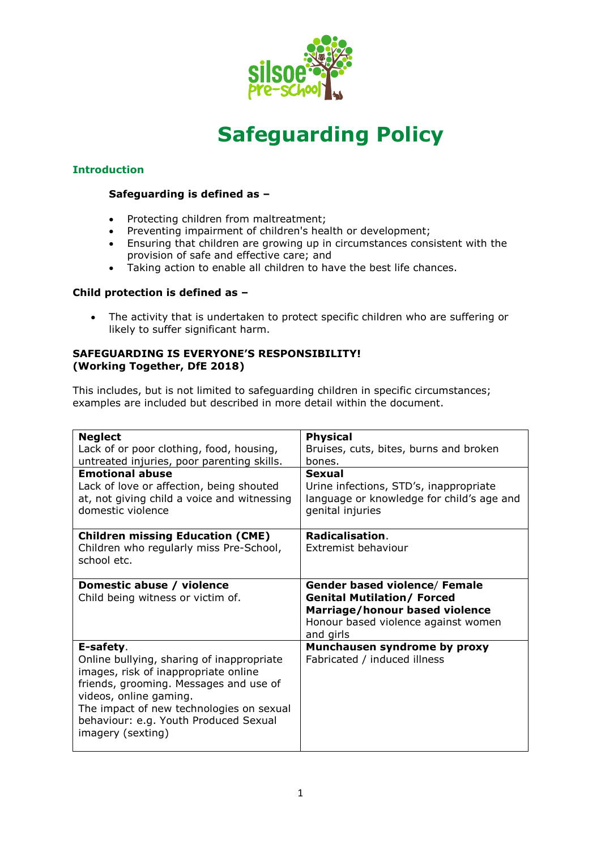

# **Safeguarding Policy**

# **Introduction**

# **Safeguarding is defined as –**

- Protecting children from maltreatment;
- Preventing impairment of children's health or development;
- Ensuring that children are growing up in circumstances consistent with the provision of safe and effective care; and
- Taking action to enable all children to have the best life chances.

## **Child protection is defined as –**

 The activity that is undertaken to protect specific children who are suffering or likely to suffer significant harm.

## **SAFEGUARDING IS EVERYONE'S RESPONSIBILITY! (Working Together, DfE 2018)**

This includes, but is not limited to safeguarding children in specific circumstances; examples are included but described in more detail within the document.

| <b>Neglect</b><br>Lack of or poor clothing, food, housing,<br>untreated injuries, poor parenting skills.<br><b>Emotional abuse</b><br>Lack of love or affection, being shouted<br>at, not giving child a voice and witnessing<br>domestic violence                           | <b>Physical</b><br>Bruises, cuts, bites, burns and broken<br>bones.<br>Sexual<br>Urine infections, STD's, inappropriate<br>language or knowledge for child's age and<br>genital injuries |
|------------------------------------------------------------------------------------------------------------------------------------------------------------------------------------------------------------------------------------------------------------------------------|------------------------------------------------------------------------------------------------------------------------------------------------------------------------------------------|
| <b>Children missing Education (CME)</b><br>Children who regularly miss Pre-School,<br>school etc.                                                                                                                                                                            | Radicalisation.<br>Extremist behaviour                                                                                                                                                   |
| Domestic abuse / violence<br>Child being witness or victim of.                                                                                                                                                                                                               | <b>Gender based violence/ Female</b><br><b>Genital Mutilation/ Forced</b><br>Marriage/honour based violence<br>Honour based violence against women<br>and girls                          |
| E-safety.<br>Online bullying, sharing of inappropriate<br>images, risk of inappropriate online<br>friends, grooming. Messages and use of<br>videos, online gaming.<br>The impact of new technologies on sexual<br>behaviour: e.g. Youth Produced Sexual<br>imagery (sexting) | Munchausen syndrome by proxy<br>Fabricated / induced illness                                                                                                                             |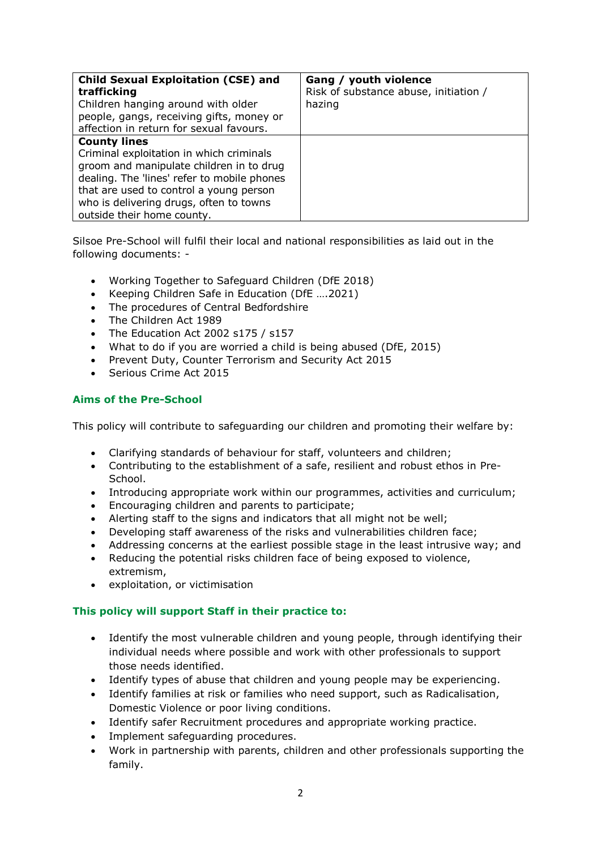| <b>Child Sexual Exploitation (CSE) and</b><br>trafficking<br>Children hanging around with older<br>people, gangs, receiving gifts, money or<br>affection in return for sexual favours.                                                                                         | Gang / youth violence<br>Risk of substance abuse, initiation /<br>hazing |
|--------------------------------------------------------------------------------------------------------------------------------------------------------------------------------------------------------------------------------------------------------------------------------|--------------------------------------------------------------------------|
| <b>County lines</b><br>Criminal exploitation in which criminals<br>groom and manipulate children in to drug<br>dealing. The 'lines' refer to mobile phones<br>that are used to control a young person<br>who is delivering drugs, often to towns<br>outside their home county. |                                                                          |

Silsoe Pre-School will fulfil their local and national responsibilities as laid out in the following documents: -

- Working Together to Safeguard Children (DfE 2018)
- Keeping Children Safe in Education (DfE ….2021)
- The procedures of Central Bedfordshire
- The Children Act 1989
- The Education Act 2002 s175 / s157
- What to do if you are worried a child is being abused (DfE, 2015)
- Prevent Duty, Counter Terrorism and Security Act 2015
- Serious Crime Act 2015

# **Aims of the Pre-School**

This policy will contribute to safeguarding our children and promoting their welfare by:

- Clarifying standards of behaviour for staff, volunteers and children;
- Contributing to the establishment of a safe, resilient and robust ethos in Pre-School.
- Introducing appropriate work within our programmes, activities and curriculum;
- Encouraging children and parents to participate;
- Alerting staff to the signs and indicators that all might not be well;
- Developing staff awareness of the risks and vulnerabilities children face;
- Addressing concerns at the earliest possible stage in the least intrusive way; and
- Reducing the potential risks children face of being exposed to violence, extremism,
- exploitation, or victimisation

# **This policy will support Staff in their practice to:**

- Identify the most vulnerable children and young people, through identifying their individual needs where possible and work with other professionals to support those needs identified.
- Identify types of abuse that children and young people may be experiencing.
- Identify families at risk or families who need support, such as Radicalisation, Domestic Violence or poor living conditions.
- Identify safer Recruitment procedures and appropriate working practice.
- Implement safeguarding procedures.
- Work in partnership with parents, children and other professionals supporting the family.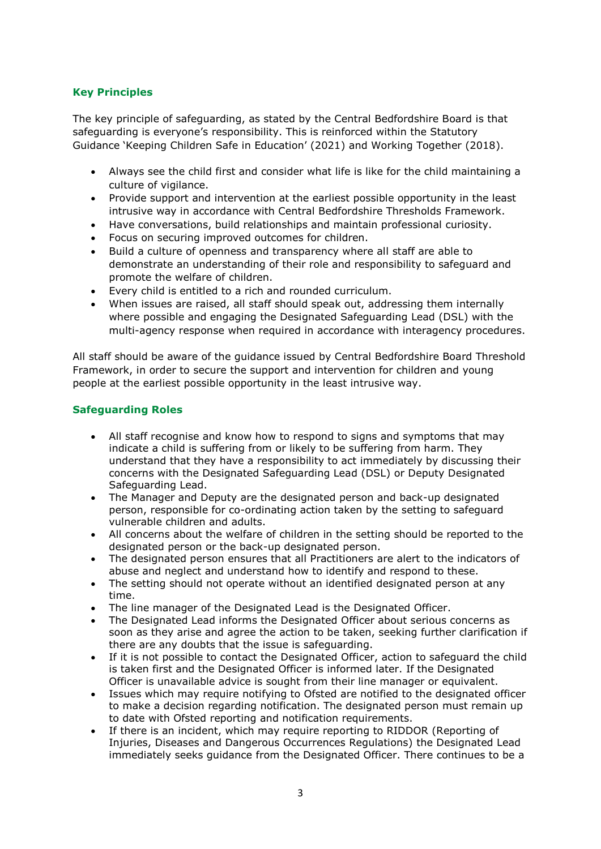# **Key Principles**

The key principle of safeguarding, as stated by the Central Bedfordshire Board is that safeguarding is everyone's responsibility. This is reinforced within the Statutory Guidance 'Keeping Children Safe in Education' (2021) and Working Together (2018).

- Always see the child first and consider what life is like for the child maintaining a culture of vigilance.
- Provide support and intervention at the earliest possible opportunity in the least intrusive way in accordance with Central Bedfordshire Thresholds Framework.
- Have conversations, build relationships and maintain professional curiosity.
- Focus on securing improved outcomes for children.
- Build a culture of openness and transparency where all staff are able to demonstrate an understanding of their role and responsibility to safeguard and promote the welfare of children.
- Every child is entitled to a rich and rounded curriculum.
- When issues are raised, all staff should speak out, addressing them internally where possible and engaging the Designated Safeguarding Lead (DSL) with the multi-agency response when required in accordance with interagency procedures.

All staff should be aware of the guidance issued by Central Bedfordshire Board Threshold Framework, in order to secure the support and intervention for children and young people at the earliest possible opportunity in the least intrusive way.

# **Safeguarding Roles**

- All staff recognise and know how to respond to signs and symptoms that may indicate a child is suffering from or likely to be suffering from harm. They understand that they have a responsibility to act immediately by discussing their concerns with the Designated Safeguarding Lead (DSL) or Deputy Designated Safeguarding Lead.
- The Manager and Deputy are the designated person and back-up designated person, responsible for co-ordinating action taken by the setting to safeguard vulnerable children and adults.
- All concerns about the welfare of children in the setting should be reported to the designated person or the back-up designated person.
- The designated person ensures that all Practitioners are alert to the indicators of abuse and neglect and understand how to identify and respond to these.
- The setting should not operate without an identified designated person at any time.
- The line manager of the Designated Lead is the Designated Officer.
- The Designated Lead informs the Designated Officer about serious concerns as soon as they arise and agree the action to be taken, seeking further clarification if there are any doubts that the issue is safeguarding.
- If it is not possible to contact the Designated Officer, action to safeguard the child is taken first and the Designated Officer is informed later. If the Designated Officer is unavailable advice is sought from their line manager or equivalent.
- Issues which may require notifying to Ofsted are notified to the designated officer to make a decision regarding notification. The designated person must remain up to date with Ofsted reporting and notification requirements.
- If there is an incident, which may require reporting to RIDDOR (Reporting of Injuries, Diseases and Dangerous Occurrences Regulations) the Designated Lead immediately seeks guidance from the Designated Officer. There continues to be a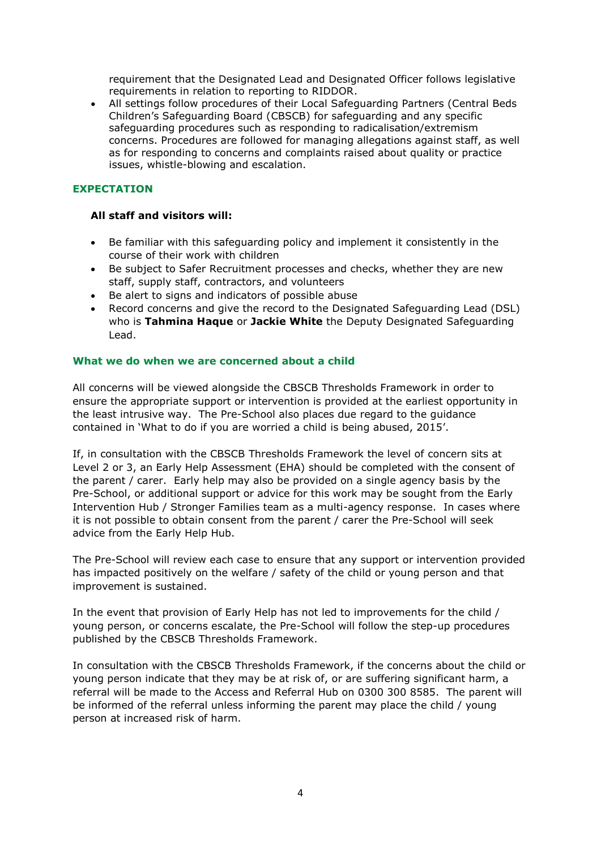requirement that the Designated Lead and Designated Officer follows legislative requirements in relation to reporting to RIDDOR.

 All settings follow procedures of their Local Safeguarding Partners (Central Beds Children's Safeguarding Board (CBSCB) for safeguarding and any specific safeguarding procedures such as responding to radicalisation/extremism concerns. Procedures are followed for managing allegations against staff, as well as for responding to concerns and complaints raised about quality or practice issues, whistle-blowing and escalation.

# **EXPECTATION**

## **All staff and visitors will:**

- Be familiar with this safeguarding policy and implement it consistently in the course of their work with children
- Be subject to Safer Recruitment processes and checks, whether they are new staff, supply staff, contractors, and volunteers
- Be alert to signs and indicators of possible abuse
- Record concerns and give the record to the Designated Safeguarding Lead (DSL) who is **Tahmina Haque** or **Jackie White** the Deputy Designated Safeguarding Lead.

#### **What we do when we are concerned about a child**

All concerns will be viewed alongside the CBSCB Thresholds Framework in order to ensure the appropriate support or intervention is provided at the earliest opportunity in the least intrusive way. The Pre-School also places due regard to the guidance contained in 'What to do if you are worried a child is being abused, 2015'.

If, in consultation with the CBSCB Thresholds Framework the level of concern sits at Level 2 or 3, an Early Help Assessment (EHA) should be completed with the consent of the parent / carer. Early help may also be provided on a single agency basis by the Pre-School, or additional support or advice for this work may be sought from the Early Intervention Hub / Stronger Families team as a multi-agency response. In cases where it is not possible to obtain consent from the parent / carer the Pre-School will seek advice from the Early Help Hub.

The Pre-School will review each case to ensure that any support or intervention provided has impacted positively on the welfare / safety of the child or young person and that improvement is sustained.

In the event that provision of Early Help has not led to improvements for the child / young person, or concerns escalate, the Pre-School will follow the step-up procedures published by the CBSCB Thresholds Framework.

In consultation with the CBSCB Thresholds Framework, if the concerns about the child or young person indicate that they may be at risk of, or are suffering significant harm, a referral will be made to the Access and Referral Hub on 0300 300 8585. The parent will be informed of the referral unless informing the parent may place the child / young person at increased risk of harm.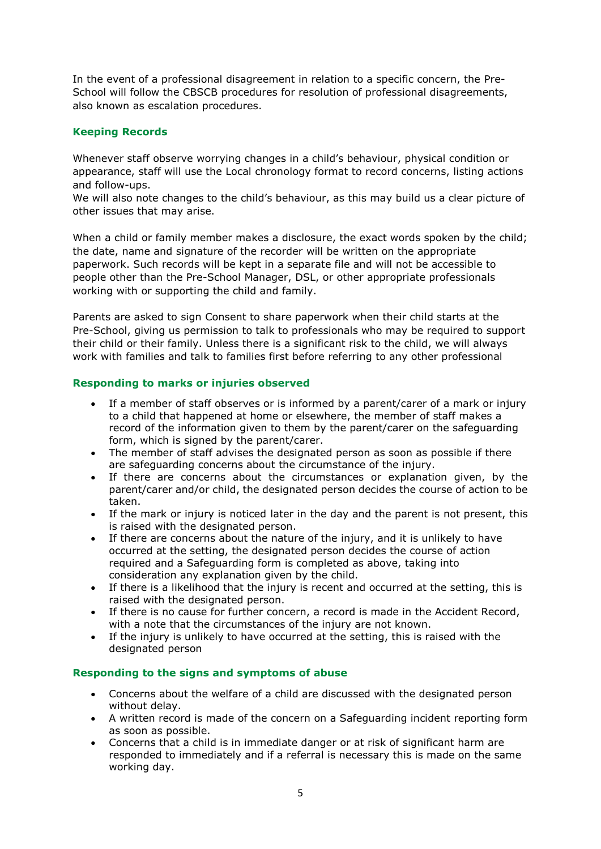In the event of a professional disagreement in relation to a specific concern, the Pre-School will follow the CBSCB procedures for resolution of professional disagreements, also known as escalation procedures.

# **Keeping Records**

Whenever staff observe worrying changes in a child's behaviour, physical condition or appearance, staff will use the Local chronology format to record concerns, listing actions and follow-ups.

We will also note changes to the child's behaviour, as this may build us a clear picture of other issues that may arise.

When a child or family member makes a disclosure, the exact words spoken by the child; the date, name and signature of the recorder will be written on the appropriate paperwork. Such records will be kept in a separate file and will not be accessible to people other than the Pre-School Manager, DSL, or other appropriate professionals working with or supporting the child and family.

Parents are asked to sign Consent to share paperwork when their child starts at the Pre-School, giving us permission to talk to professionals who may be required to support their child or their family. Unless there is a significant risk to the child, we will always work with families and talk to families first before referring to any other professional

# **Responding to marks or injuries observed**

- If a member of staff observes or is informed by a parent/carer of a mark or injury to a child that happened at home or elsewhere, the member of staff makes a record of the information given to them by the parent/carer on the safeguarding form, which is signed by the parent/carer.
- The member of staff advises the designated person as soon as possible if there are safeguarding concerns about the circumstance of the injury.
- If there are concerns about the circumstances or explanation given, by the parent/carer and/or child, the designated person decides the course of action to be taken.
- If the mark or injury is noticed later in the day and the parent is not present, this is raised with the designated person.
- If there are concerns about the nature of the injury, and it is unlikely to have occurred at the setting, the designated person decides the course of action required and a Safeguarding form is completed as above, taking into consideration any explanation given by the child.
- If there is a likelihood that the injury is recent and occurred at the setting, this is raised with the designated person.
- If there is no cause for further concern, a record is made in the Accident Record, with a note that the circumstances of the injury are not known.
- If the injury is unlikely to have occurred at the setting, this is raised with the designated person

#### **Responding to the signs and symptoms of abuse**

- Concerns about the welfare of a child are discussed with the designated person without delay.
- A written record is made of the concern on a Safeguarding incident reporting form as soon as possible.
- Concerns that a child is in immediate danger or at risk of significant harm are responded to immediately and if a referral is necessary this is made on the same working day.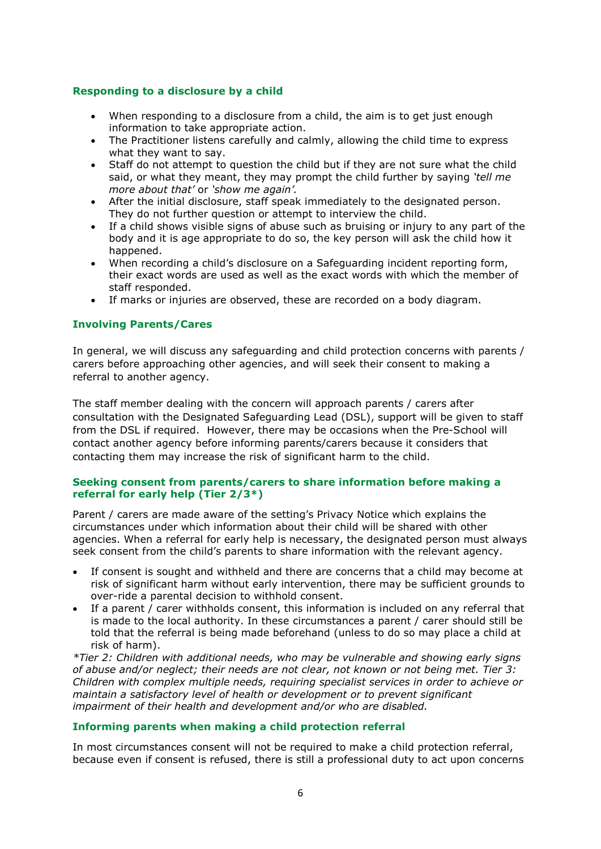# **Responding to a disclosure by a child**

- When responding to a disclosure from a child, the aim is to get just enough information to take appropriate action.
- The Practitioner listens carefully and calmly, allowing the child time to express what they want to say.
- Staff do not attempt to question the child but if they are not sure what the child said, or what they meant, they may prompt the child further by saying *'tell me more about that'* or *'show me again'.*
- After the initial disclosure, staff speak immediately to the designated person. They do not further question or attempt to interview the child.
- If a child shows visible signs of abuse such as bruising or injury to any part of the body and it is age appropriate to do so, the key person will ask the child how it happened.
- When recording a child's disclosure on a Safeguarding incident reporting form, their exact words are used as well as the exact words with which the member of staff responded.
- If marks or injuries are observed, these are recorded on a body diagram.

# **Involving Parents/Cares**

In general, we will discuss any safeguarding and child protection concerns with parents / carers before approaching other agencies, and will seek their consent to making a referral to another agency.

The staff member dealing with the concern will approach parents / carers after consultation with the Designated Safeguarding Lead (DSL), support will be given to staff from the DSL if required. However, there may be occasions when the Pre-School will contact another agency before informing parents/carers because it considers that contacting them may increase the risk of significant harm to the child.

#### **Seeking consent from parents/carers to share information before making a referral for early help (Tier 2/3\*)**

Parent / carers are made aware of the setting's Privacy Notice which explains the circumstances under which information about their child will be shared with other agencies. When a referral for early help is necessary, the designated person must always seek consent from the child's parents to share information with the relevant agency.

- If consent is sought and withheld and there are concerns that a child may become at risk of significant harm without early intervention, there may be sufficient grounds to over-ride a parental decision to withhold consent.
- If a parent / carer withholds consent, this information is included on any referral that is made to the local authority. In these circumstances a parent / carer should still be told that the referral is being made beforehand (unless to do so may place a child at risk of harm).

*\*Tier 2: Children with additional needs, who may be vulnerable and showing early signs of abuse and/or neglect; their needs are not clear, not known or not being met. Tier 3: Children with complex multiple needs, requiring specialist services in order to achieve or maintain a satisfactory level of health or development or to prevent significant impairment of their health and development and/or who are disabled.*

#### **Informing parents when making a child protection referral**

In most circumstances consent will not be required to make a child protection referral, because even if consent is refused, there is still a professional duty to act upon concerns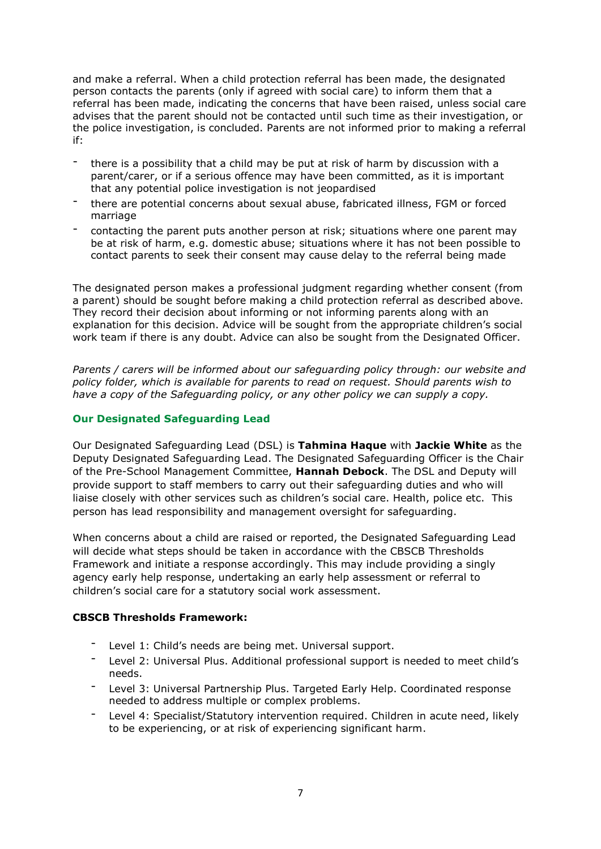and make a referral. When a child protection referral has been made, the designated person contacts the parents (only if agreed with social care) to inform them that a referral has been made, indicating the concerns that have been raised, unless social care advises that the parent should not be contacted until such time as their investigation, or the police investigation, is concluded. Parents are not informed prior to making a referral if:

- there is a possibility that a child may be put at risk of harm by discussion with a parent/carer, or if a serious offence may have been committed, as it is important that any potential police investigation is not jeopardised
- there are potential concerns about sexual abuse, fabricated illness, FGM or forced marriage
- contacting the parent puts another person at risk; situations where one parent may be at risk of harm, e.g. domestic abuse; situations where it has not been possible to contact parents to seek their consent may cause delay to the referral being made

The designated person makes a professional judgment regarding whether consent (from a parent) should be sought before making a child protection referral as described above. They record their decision about informing or not informing parents along with an explanation for this decision. Advice will be sought from the appropriate children's social work team if there is any doubt. Advice can also be sought from the Designated Officer.

*Parents / carers will be informed about our safeguarding policy through: our website and policy folder, which is available for parents to read on request. Should parents wish to have a copy of the Safeguarding policy, or any other policy we can supply a copy.*

## **Our Designated Safeguarding Lead**

Our Designated Safeguarding Lead (DSL) is **Tahmina Haque** with **Jackie White** as the Deputy Designated Safeguarding Lead. The Designated Safeguarding Officer is the Chair of the Pre-School Management Committee, **Hannah Debock**. The DSL and Deputy will provide support to staff members to carry out their safeguarding duties and who will liaise closely with other services such as children's social care. Health, police etc. This person has lead responsibility and management oversight for safeguarding.

When concerns about a child are raised or reported, the Designated Safeguarding Lead will decide what steps should be taken in accordance with the CBSCB Thresholds Framework and initiate a response accordingly. This may include providing a singly agency early help response, undertaking an early help assessment or referral to children's social care for a statutory social work assessment.

#### **CBSCB Thresholds Framework:**

- Level 1: Child's needs are being met. Universal support.
- Level 2: Universal Plus. Additional professional support is needed to meet child's needs.
- Level 3: Universal Partnership Plus. Targeted Early Help. Coordinated response needed to address multiple or complex problems.
- Level 4: Specialist/Statutory intervention required. Children in acute need, likely to be experiencing, or at risk of experiencing significant harm.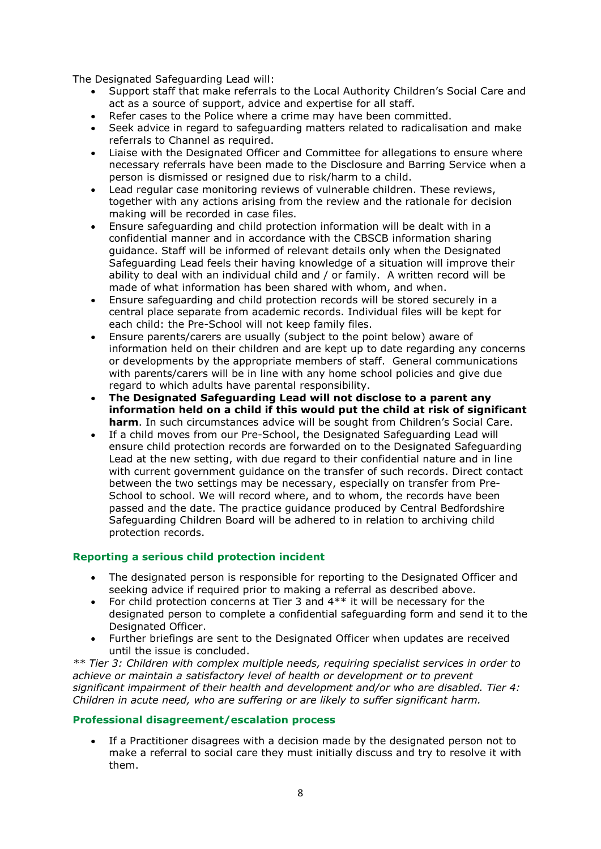The Designated Safeguarding Lead will:

- Support staff that make referrals to the Local Authority Children's Social Care and act as a source of support, advice and expertise for all staff.
- Refer cases to the Police where a crime may have been committed.
- Seek advice in regard to safeguarding matters related to radicalisation and make referrals to Channel as required.
- Liaise with the Designated Officer and Committee for allegations to ensure where necessary referrals have been made to the Disclosure and Barring Service when a person is dismissed or resigned due to risk/harm to a child.
- Lead regular case monitoring reviews of vulnerable children. These reviews, together with any actions arising from the review and the rationale for decision making will be recorded in case files.
- Ensure safeguarding and child protection information will be dealt with in a confidential manner and in accordance with the CBSCB information sharing guidance. Staff will be informed of relevant details only when the Designated Safeguarding Lead feels their having knowledge of a situation will improve their ability to deal with an individual child and / or family. A written record will be made of what information has been shared with whom, and when.
- Ensure safeguarding and child protection records will be stored securely in a central place separate from academic records. Individual files will be kept for each child: the Pre-School will not keep family files.
- Ensure parents/carers are usually (subject to the point below) aware of information held on their children and are kept up to date regarding any concerns or developments by the appropriate members of staff. General communications with parents/carers will be in line with any home school policies and give due regard to which adults have parental responsibility.
- **The Designated Safeguarding Lead will not disclose to a parent any information held on a child if this would put the child at risk of significant harm**. In such circumstances advice will be sought from Children's Social Care.
- If a child moves from our Pre-School, the Designated Safeguarding Lead will ensure child protection records are forwarded on to the Designated Safeguarding Lead at the new setting, with due regard to their confidential nature and in line with current government guidance on the transfer of such records. Direct contact between the two settings may be necessary, especially on transfer from Pre-School to school. We will record where, and to whom, the records have been passed and the date. The practice guidance produced by Central Bedfordshire Safeguarding Children Board will be adhered to in relation to archiving child protection records.

# **Reporting a serious child protection incident**

- The designated person is responsible for reporting to the Designated Officer and seeking advice if required prior to making a referral as described above.
- For child protection concerns at Tier 3 and  $4**$  it will be necessary for the designated person to complete a confidential safeguarding form and send it to the Designated Officer.
- Further briefings are sent to the Designated Officer when updates are received until the issue is concluded.

*\*\* Tier 3: Children with complex multiple needs, requiring specialist services in order to achieve or maintain a satisfactory level of health or development or to prevent significant impairment of their health and development and/or who are disabled. Tier 4: Children in acute need, who are suffering or are likely to suffer significant harm.*

#### **Professional disagreement/escalation process**

 If a Practitioner disagrees with a decision made by the designated person not to make a referral to social care they must initially discuss and try to resolve it with them.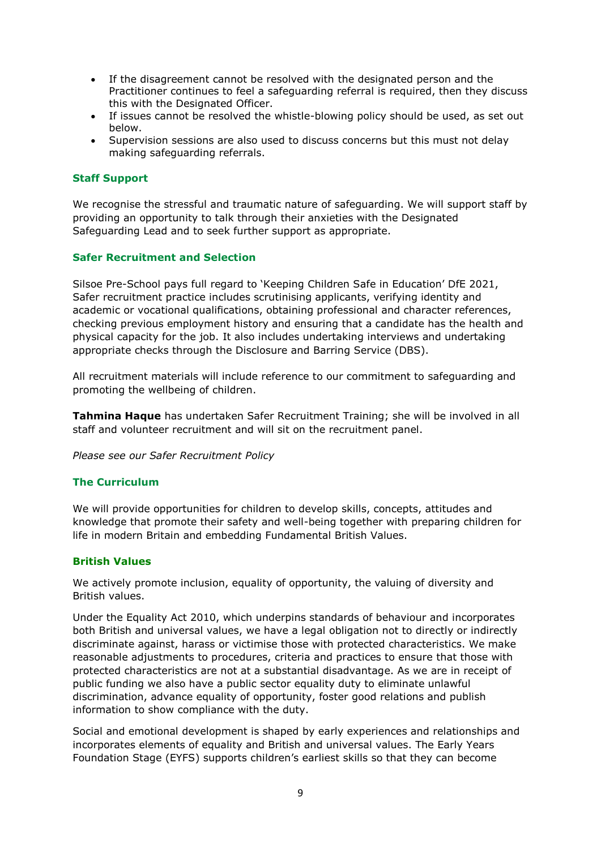- If the disagreement cannot be resolved with the designated person and the Practitioner continues to feel a safeguarding referral is required, then they discuss this with the Designated Officer.
- If issues cannot be resolved the whistle-blowing policy should be used, as set out below.
- Supervision sessions are also used to discuss concerns but this must not delay making safeguarding referrals.

#### **Staff Support**

We recognise the stressful and traumatic nature of safeguarding. We will support staff by providing an opportunity to talk through their anxieties with the Designated Safeguarding Lead and to seek further support as appropriate.

#### **Safer Recruitment and Selection**

Silsoe Pre-School pays full regard to 'Keeping Children Safe in Education' DfE 2021, Safer recruitment practice includes scrutinising applicants, verifying identity and academic or vocational qualifications, obtaining professional and character references, checking previous employment history and ensuring that a candidate has the health and physical capacity for the job. It also includes undertaking interviews and undertaking appropriate checks through the Disclosure and Barring Service (DBS).

All recruitment materials will include reference to our commitment to safeguarding and promoting the wellbeing of children.

**Tahmina Haque** has undertaken Safer Recruitment Training; she will be involved in all staff and volunteer recruitment and will sit on the recruitment panel.

*Please see our Safer Recruitment Policy*

#### **The Curriculum**

We will provide opportunities for children to develop skills, concepts, attitudes and knowledge that promote their safety and well-being together with preparing children for life in modern Britain and embedding Fundamental British Values.

#### **British Values**

We actively promote inclusion, equality of opportunity, the valuing of diversity and British values.

Under the Equality Act 2010, which underpins standards of behaviour and incorporates both British and universal values, we have a legal obligation not to directly or indirectly discriminate against, harass or victimise those with protected characteristics. We make reasonable adjustments to procedures, criteria and practices to ensure that those with protected characteristics are not at a substantial disadvantage. As we are in receipt of public funding we also have a public sector equality duty to eliminate unlawful discrimination, advance equality of opportunity, foster good relations and publish information to show compliance with the duty.

Social and emotional development is shaped by early experiences and relationships and incorporates elements of equality and British and universal values. The Early Years Foundation Stage (EYFS) supports children's earliest skills so that they can become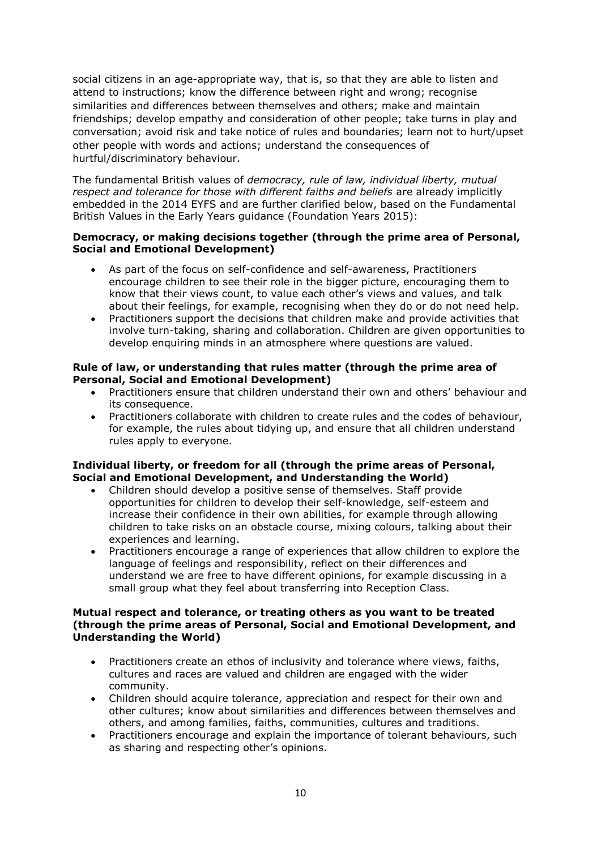social citizens in an age-appropriate way, that is, so that they are able to listen and attend to instructions; know the difference between right and wrong; recognise similarities and differences between themselves and others; make and maintain friendships; develop empathy and consideration of other people; take turns in play and conversation; avoid risk and take notice of rules and boundaries; learn not to hurt/upset other people with words and actions; understand the consequences of hurtful/discriminatory behaviour.

The fundamental British values of *democracy, rule of law, individual liberty, mutual respect and tolerance for those with different faiths and beliefs* are already implicitly embedded in the 2014 EYFS and are further clarified below, based on the Fundamental British Values in the Early Years guidance (Foundation Years 2015):

## **Democracy, or making decisions together (through the prime area of Personal, Social and Emotional Development)**

- As part of the focus on self-confidence and self-awareness, Practitioners encourage children to see their role in the bigger picture, encouraging them to know that their views count, to value each other's views and values, and talk about their feelings, for example, recognising when they do or do not need help.
- Practitioners support the decisions that children make and provide activities that involve turn-taking, sharing and collaboration. Children are given opportunities to develop enquiring minds in an atmosphere where questions are valued.

## **Rule of law, or understanding that rules matter (through the prime area of Personal, Social and Emotional Development)**

- Practitioners ensure that children understand their own and others' behaviour and its consequence.
- Practitioners collaborate with children to create rules and the codes of behaviour, for example, the rules about tidying up, and ensure that all children understand rules apply to everyone.

#### **Individual liberty, or freedom for all (through the prime areas of Personal, Social and Emotional Development, and Understanding the World)**

- Children should develop a positive sense of themselves. Staff provide opportunities for children to develop their self-knowledge, self-esteem and increase their confidence in their own abilities, for example through allowing children to take risks on an obstacle course, mixing colours, talking about their experiences and learning.
- Practitioners encourage a range of experiences that allow children to explore the language of feelings and responsibility, reflect on their differences and understand we are free to have different opinions, for example discussing in a small group what they feel about transferring into Reception Class.

## **Mutual respect and tolerance, or treating others as you want to be treated (through the prime areas of Personal, Social and Emotional Development, and Understanding the World)**

- Practitioners create an ethos of inclusivity and tolerance where views, faiths, cultures and races are valued and children are engaged with the wider community.
- Children should acquire tolerance, appreciation and respect for their own and other cultures; know about similarities and differences between themselves and others, and among families, faiths, communities, cultures and traditions.
- Practitioners encourage and explain the importance of tolerant behaviours, such as sharing and respecting other's opinions.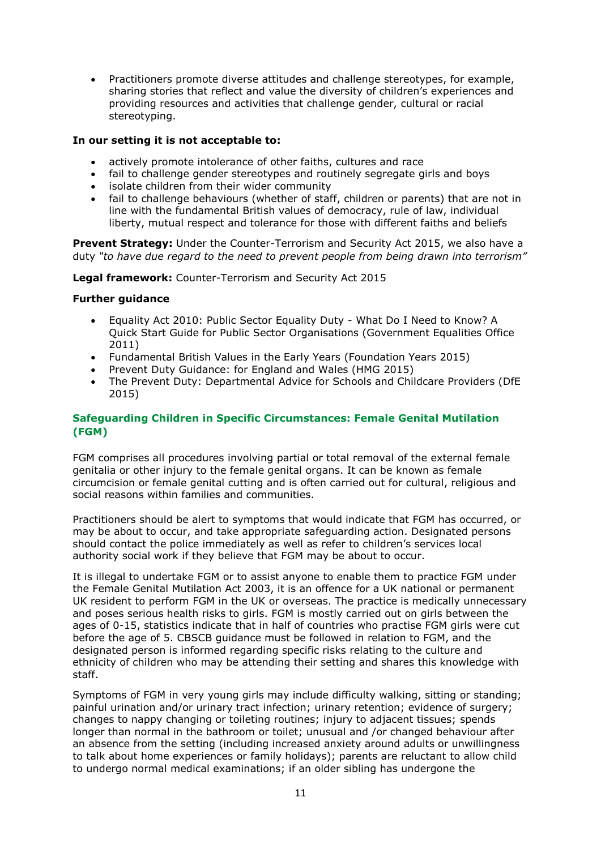Practitioners promote diverse attitudes and challenge stereotypes, for example, sharing stories that reflect and value the diversity of children's experiences and providing resources and activities that challenge gender, cultural or racial stereotyping.

## **In our setting it is not acceptable to:**

- actively promote intolerance of other faiths, cultures and race
- fail to challenge gender stereotypes and routinely segregate girls and boys
- isolate children from their wider community
- fail to challenge behaviours (whether of staff, children or parents) that are not in line with the fundamental British values of democracy, rule of law, individual liberty, mutual respect and tolerance for those with different faiths and beliefs

**Prevent Strategy:** Under the Counter-Terrorism and Security Act 2015, we also have a duty *"to have due regard to the need to prevent people from being drawn into terrorism"* 

**Legal framework:** Counter-Terrorism and Security Act 2015

## **Further guidance**

- Equality Act 2010: Public Sector Equality Duty What Do I Need to Know? A Quick Start Guide for Public Sector Organisations (Government Equalities Office 2011)
- Fundamental British Values in the Early Years (Foundation Years 2015)
- Prevent Duty Guidance: for England and Wales (HMG 2015)
- The Prevent Duty: Departmental Advice for Schools and Childcare Providers (DfE 2015)

# **Safeguarding Children in Specific Circumstances: Female Genital Mutilation (FGM)**

FGM comprises all procedures involving partial or total removal of the external female genitalia or other injury to the female genital organs. It can be known as female circumcision or female genital cutting and is often carried out for cultural, religious and social reasons within families and communities.

Practitioners should be alert to symptoms that would indicate that FGM has occurred, or may be about to occur, and take appropriate safeguarding action. Designated persons should contact the police immediately as well as refer to children's services local authority social work if they believe that FGM may be about to occur.

It is illegal to undertake FGM or to assist anyone to enable them to practice FGM under the Female Genital Mutilation Act 2003, it is an offence for a UK national or permanent UK resident to perform FGM in the UK or overseas. The practice is medically unnecessary and poses serious health risks to girls. FGM is mostly carried out on girls between the ages of 0-15, statistics indicate that in half of countries who practise FGM girls were cut before the age of 5. CBSCB guidance must be followed in relation to FGM, and the designated person is informed regarding specific risks relating to the culture and ethnicity of children who may be attending their setting and shares this knowledge with staff.

Symptoms of FGM in very young girls may include difficulty walking, sitting or standing; painful urination and/or urinary tract infection; urinary retention; evidence of surgery; changes to nappy changing or toileting routines; injury to adjacent tissues; spends longer than normal in the bathroom or toilet; unusual and /or changed behaviour after an absence from the setting (including increased anxiety around adults or unwillingness to talk about home experiences or family holidays); parents are reluctant to allow child to undergo normal medical examinations; if an older sibling has undergone the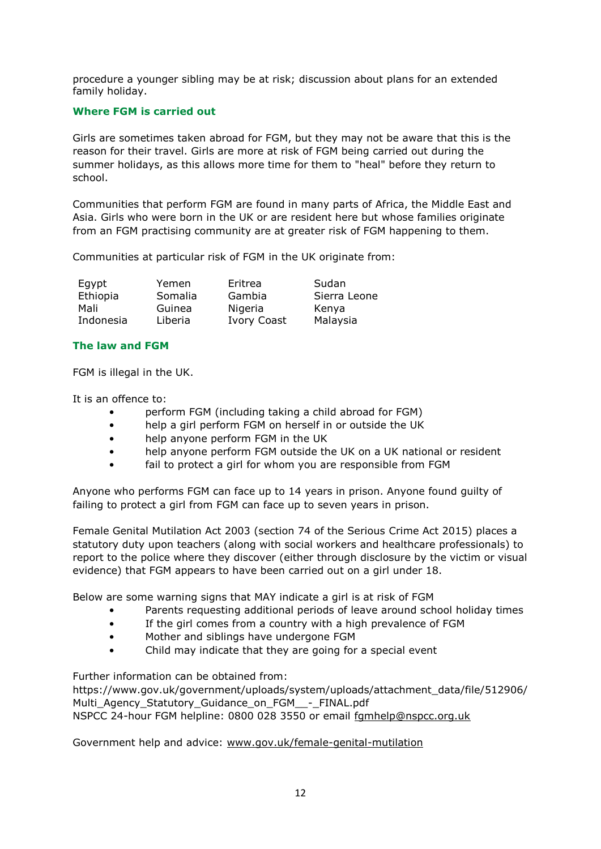procedure a younger sibling may be at risk; discussion about plans for an extended family holiday.

## **Where FGM is carried out**

Girls are sometimes taken abroad for FGM, but they may not be aware that this is the reason for their travel. Girls are more at risk of FGM being carried out during the summer holidays, as this allows more time for them to "heal" before they return to school.

Communities that perform FGM are found in many parts of Africa, the Middle East and Asia. Girls who were born in the UK or are resident here but whose families originate from an FGM practising community are at greater risk of FGM happening to them.

Communities at particular risk of FGM in the UK originate from:

| Egypt     | Yemen   | Eritrea            | Sudan        |
|-----------|---------|--------------------|--------------|
| Ethiopia  | Somalia | Gambia             | Sierra Leone |
| Mali      | Guinea  | Nigeria            | Kenya        |
| Indonesia | Liberia | <b>Ivory Coast</b> | Malaysia     |

# **The law and FGM**

FGM is illegal in the UK.

It is an offence to:

- perform FGM (including taking a child abroad for FGM)
- help a girl perform FGM on herself in or outside the UK
- help anyone perform FGM in the UK
- help anyone perform FGM outside the UK on a UK national or resident
- fail to protect a girl for whom you are responsible from FGM

Anyone who performs FGM can face up to 14 years in prison. Anyone found guilty of failing to protect a girl from FGM can face up to seven years in prison.

Female Genital Mutilation Act 2003 (section 74 of the Serious Crime Act 2015) places a statutory duty upon teachers (along with social workers and healthcare professionals) to report to the police where they discover (either through disclosure by the victim or visual evidence) that FGM appears to have been carried out on a girl under 18.

Below are some warning signs that MAY indicate a girl is at risk of FGM

- Parents requesting additional periods of leave around school holiday times
- If the girl comes from a country with a high prevalence of FGM
- Mother and siblings have undergone FGM
- Child may indicate that they are going for a special event

Further information can be obtained from:

https://www.gov.uk/government/uploads/system/uploads/attachment\_data/file/512906/ Multi Agency Statutory Guidance on FGM - FINAL.pdf NSPCC 24-hour FGM helpline: 0800 028 3550 or email [fgmhelp@nspcc.org.uk](mailto:fgmhelp@nspcc.org.uk)

Government help and advice: [www.gov.uk/female-genital-mutilation](http://www.gov.uk/female-genital-mutilation)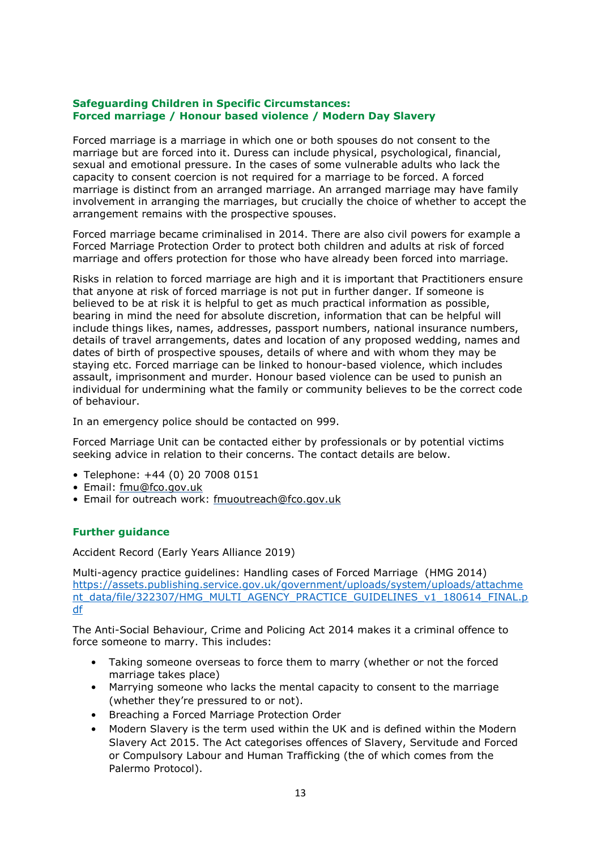## **Safeguarding Children in Specific Circumstances: Forced marriage / Honour based violence / Modern Day Slavery**

Forced marriage is a marriage in which one or both spouses do not consent to the marriage but are forced into it. Duress can include physical, psychological, financial, sexual and emotional pressure. In the cases of some vulnerable adults who lack the capacity to consent coercion is not required for a marriage to be forced. A forced marriage is distinct from an arranged marriage. An arranged marriage may have family involvement in arranging the marriages, but crucially the choice of whether to accept the arrangement remains with the prospective spouses.

Forced marriage became criminalised in 2014. There are also civil powers for example a Forced Marriage Protection Order to protect both children and adults at risk of forced marriage and offers protection for those who have already been forced into marriage.

Risks in relation to forced marriage are high and it is important that Practitioners ensure that anyone at risk of forced marriage is not put in further danger. If someone is believed to be at risk it is helpful to get as much practical information as possible, bearing in mind the need for absolute discretion, information that can be helpful will include things likes, names, addresses, passport numbers, national insurance numbers, details of travel arrangements, dates and location of any proposed wedding, names and dates of birth of prospective spouses, details of where and with whom they may be staying etc. Forced marriage can be linked to honour-based violence, which includes assault, imprisonment and murder. Honour based violence can be used to punish an individual for undermining what the family or community believes to be the correct code of behaviour.

In an emergency police should be contacted on 999.

Forced Marriage Unit can be contacted either by professionals or by potential victims seeking advice in relation to their concerns. The contact details are below.

- Telephone: +44 (0) 20 7008 0151
- Email: [fmu@fco.gov.uk](mailto:fmu@fco.gov.uk)
- Email for outreach work: [fmuoutreach@fco.gov.uk](mailto:fmuoutreach@fco.gov.uk)

#### **Further guidance**

Accident Record (Early Years Alliance 2019)

Multi-agency practice guidelines: Handling cases of Forced Marriage (HMG 2014) [https://assets.publishing.service.gov.uk/government/uploads/system/uploads/attachme](https://assets.publishing.service.gov.uk/government/uploads/system/uploads/attachment_data/file/322307/HMG_MULTI_AGENCY_PRACTICE_GUIDELINES_v1_180614_FINAL.pdf) [nt\\_data/file/322307/HMG\\_MULTI\\_AGENCY\\_PRACTICE\\_GUIDELINES\\_v1\\_180614\\_FINAL.p](https://assets.publishing.service.gov.uk/government/uploads/system/uploads/attachment_data/file/322307/HMG_MULTI_AGENCY_PRACTICE_GUIDELINES_v1_180614_FINAL.pdf) [df](https://assets.publishing.service.gov.uk/government/uploads/system/uploads/attachment_data/file/322307/HMG_MULTI_AGENCY_PRACTICE_GUIDELINES_v1_180614_FINAL.pdf)

The Anti-Social Behaviour, Crime and Policing Act 2014 makes it a criminal offence to force someone to marry. This includes:

- Taking someone overseas to force them to marry (whether or not the forced marriage takes place)
- Marrying someone who lacks the mental capacity to consent to the marriage (whether they're pressured to or not).
- Breaching a Forced Marriage Protection Order
- Modern Slavery is the term used within the UK and is defined within the Modern Slavery Act 2015. The Act categorises offences of Slavery, Servitude and Forced or Compulsory Labour and Human Trafficking (the of which comes from the Palermo Protocol).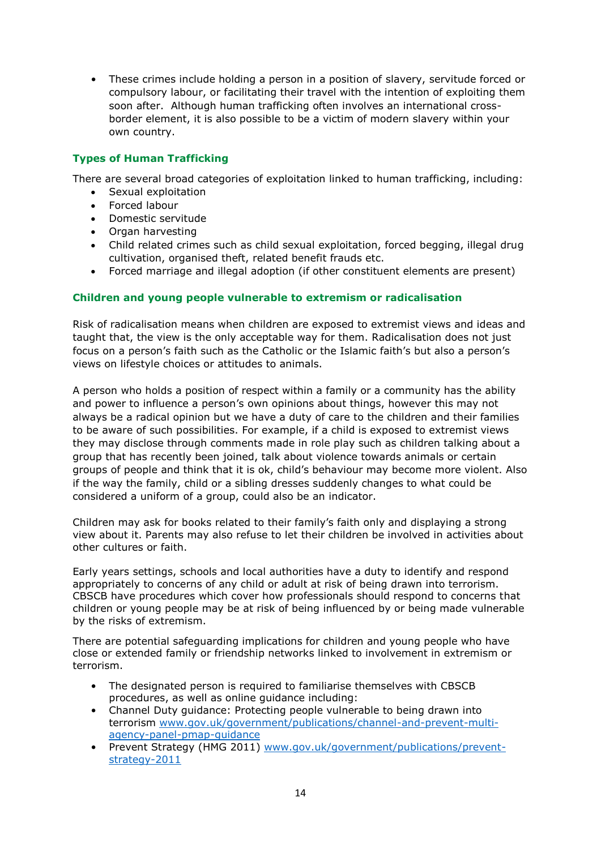• These crimes include holding a person in a position of slavery, servitude forced or compulsory labour, or facilitating their travel with the intention of exploiting them soon after. Although human trafficking often involves an international crossborder element, it is also possible to be a victim of modern slavery within your own country.

# **Types of Human Trafficking**

There are several broad categories of exploitation linked to human trafficking, including:

- Sexual exploitation
- Forced labour
- · Domestic servitude
- Organ harvesting
- Child related crimes such as child sexual exploitation, forced begging, illegal drug cultivation, organised theft, related benefit frauds etc.
- Forced marriage and illegal adoption (if other constituent elements are present)

## **Children and young people vulnerable to extremism or radicalisation**

Risk of radicalisation means when children are exposed to extremist views and ideas and taught that, the view is the only acceptable way for them. Radicalisation does not just focus on a person's faith such as the Catholic or the Islamic faith's but also a person's views on lifestyle choices or attitudes to animals.

A person who holds a position of respect within a family or a community has the ability and power to influence a person's own opinions about things, however this may not always be a radical opinion but we have a duty of care to the children and their families to be aware of such possibilities. For example, if a child is exposed to extremist views they may disclose through comments made in role play such as children talking about a group that has recently been joined, talk about violence towards animals or certain groups of people and think that it is ok, child's behaviour may become more violent. Also if the way the family, child or a sibling dresses suddenly changes to what could be considered a uniform of a group, could also be an indicator.

Children may ask for books related to their family's faith only and displaying a strong view about it. Parents may also refuse to let their children be involved in activities about other cultures or faith.

Early years settings, schools and local authorities have a duty to identify and respond appropriately to concerns of any child or adult at risk of being drawn into terrorism. CBSCB have procedures which cover how professionals should respond to concerns that children or young people may be at risk of being influenced by or being made vulnerable by the risks of extremism.

There are potential safeguarding implications for children and young people who have close or extended family or friendship networks linked to involvement in extremism or terrorism.

- The designated person is required to familiarise themselves with CBSCB procedures, as well as online guidance including:
- Channel Duty guidance: Protecting people vulnerable to being drawn into terrorism [www.gov.uk/government/publications/channel-and-prevent-multi](http://www.gov.uk/government/publications/channel-and-prevent-multi-agency-panel-pmap-guidance)[agency-panel-pmap-guidance](http://www.gov.uk/government/publications/channel-and-prevent-multi-agency-panel-pmap-guidance)
- Prevent Strategy (HMG 2011) [www.gov.uk/government/publications/prevent](http://www.gov.uk/government/publications/prevent-strategy-2011)[strategy-2011](http://www.gov.uk/government/publications/prevent-strategy-2011)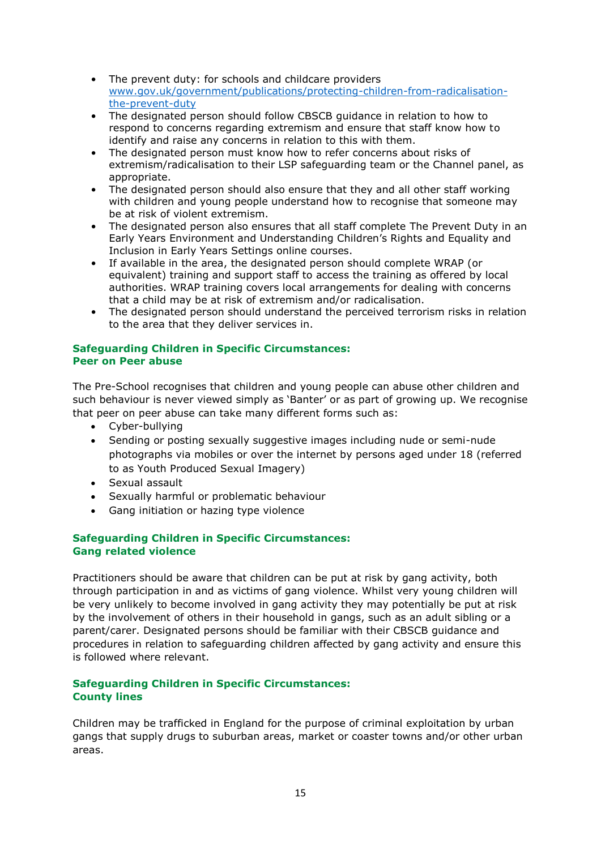- The prevent duty: for schools and childcare providers [www.gov.uk/government/publications/protecting-children-from-radicalisation](http://www.gov.uk/government/publications/protecting-children-from-radicalisation-the-prevent-duty)[the-prevent-duty](http://www.gov.uk/government/publications/protecting-children-from-radicalisation-the-prevent-duty)
- The designated person should follow CBSCB guidance in relation to how to respond to concerns regarding extremism and ensure that staff know how to identify and raise any concerns in relation to this with them.
- The designated person must know how to refer concerns about risks of extremism/radicalisation to their LSP safeguarding team or the Channel panel, as appropriate.
- The designated person should also ensure that they and all other staff working with children and young people understand how to recognise that someone may be at risk of violent extremism.
- The designated person also ensures that all staff complete The Prevent Duty in an Early Years Environment and Understanding Children's Rights and Equality and Inclusion in Early Years Settings online courses.
- If available in the area, the designated person should complete WRAP (or equivalent) training and support staff to access the training as offered by local authorities. WRAP training covers local arrangements for dealing with concerns that a child may be at risk of extremism and/or radicalisation.
- The designated person should understand the perceived terrorism risks in relation to the area that they deliver services in.

#### **Safeguarding Children in Specific Circumstances: Peer on Peer abuse**

The Pre-School recognises that children and young people can abuse other children and such behaviour is never viewed simply as 'Banter' or as part of growing up. We recognise that peer on peer abuse can take many different forms such as:

- Cyber-bullying
- Sending or posting sexually suggestive images including nude or semi-nude photographs via mobiles or over the internet by persons aged under 18 (referred to as Youth Produced Sexual Imagery)
- Sexual assault
- Sexually harmful or problematic behaviour
- Gang initiation or hazing type violence

# **Safeguarding Children in Specific Circumstances: Gang related violence**

Practitioners should be aware that children can be put at risk by gang activity, both through participation in and as victims of gang violence. Whilst very young children will be very unlikely to become involved in gang activity they may potentially be put at risk by the involvement of others in their household in gangs, such as an adult sibling or a parent/carer. Designated persons should be familiar with their CBSCB guidance and procedures in relation to safeguarding children affected by gang activity and ensure this is followed where relevant.

# **Safeguarding Children in Specific Circumstances: County lines**

Children may be trafficked in England for the purpose of criminal exploitation by urban gangs that supply drugs to suburban areas, market or coaster towns and/or other urban areas.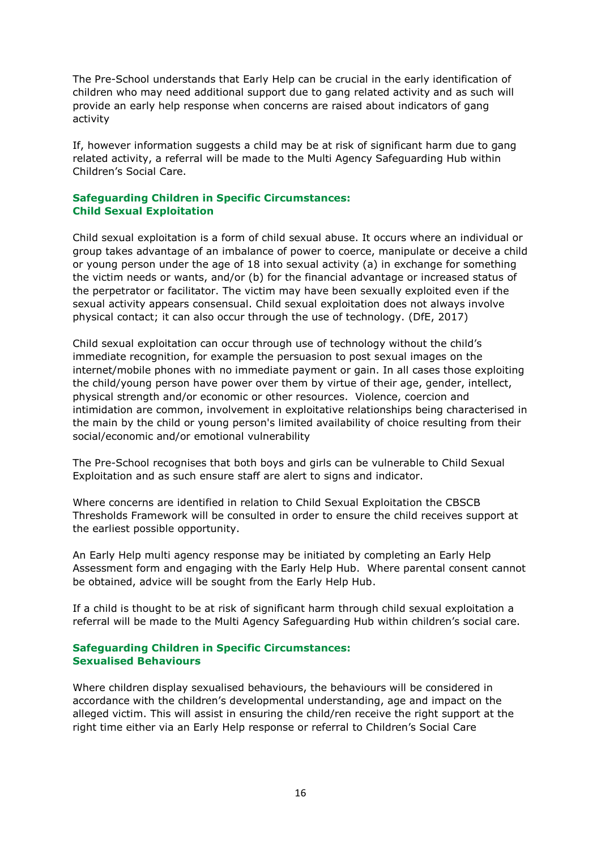The Pre-School understands that Early Help can be crucial in the early identification of children who may need additional support due to gang related activity and as such will provide an early help response when concerns are raised about indicators of gang activity

If, however information suggests a child may be at risk of significant harm due to gang related activity, a referral will be made to the Multi Agency Safeguarding Hub within Children's Social Care.

## **Safeguarding Children in Specific Circumstances: Child Sexual Exploitation**

Child sexual exploitation is a form of child sexual abuse. It occurs where an individual or group takes advantage of an imbalance of power to coerce, manipulate or deceive a child or young person under the age of 18 into sexual activity (a) in exchange for something the victim needs or wants, and/or (b) for the financial advantage or increased status of the perpetrator or facilitator. The victim may have been sexually exploited even if the sexual activity appears consensual. Child sexual exploitation does not always involve physical contact; it can also occur through the use of technology. (DfE, 2017)

Child sexual exploitation can occur through use of technology without the child's immediate recognition, for example the persuasion to post sexual images on the internet/mobile phones with no immediate payment or gain. In all cases those exploiting the child/young person have power over them by virtue of their age, gender, intellect, physical strength and/or economic or other resources. Violence, coercion and intimidation are common, involvement in exploitative relationships being characterised in the main by the child or young person's limited availability of choice resulting from their social/economic and/or emotional vulnerability

The Pre-School recognises that both boys and girls can be vulnerable to Child Sexual Exploitation and as such ensure staff are alert to signs and indicator.

Where concerns are identified in relation to Child Sexual Exploitation the CBSCB Thresholds Framework will be consulted in order to ensure the child receives support at the earliest possible opportunity.

An Early Help multi agency response may be initiated by completing an Early Help Assessment form and engaging with the Early Help Hub. Where parental consent cannot be obtained, advice will be sought from the Early Help Hub.

If a child is thought to be at risk of significant harm through child sexual exploitation a referral will be made to the Multi Agency Safeguarding Hub within children's social care.

## **Safeguarding Children in Specific Circumstances: Sexualised Behaviours**

Where children display sexualised behaviours, the behaviours will be considered in accordance with the children's developmental understanding, age and impact on the alleged victim. This will assist in ensuring the child/ren receive the right support at the right time either via an Early Help response or referral to Children's Social Care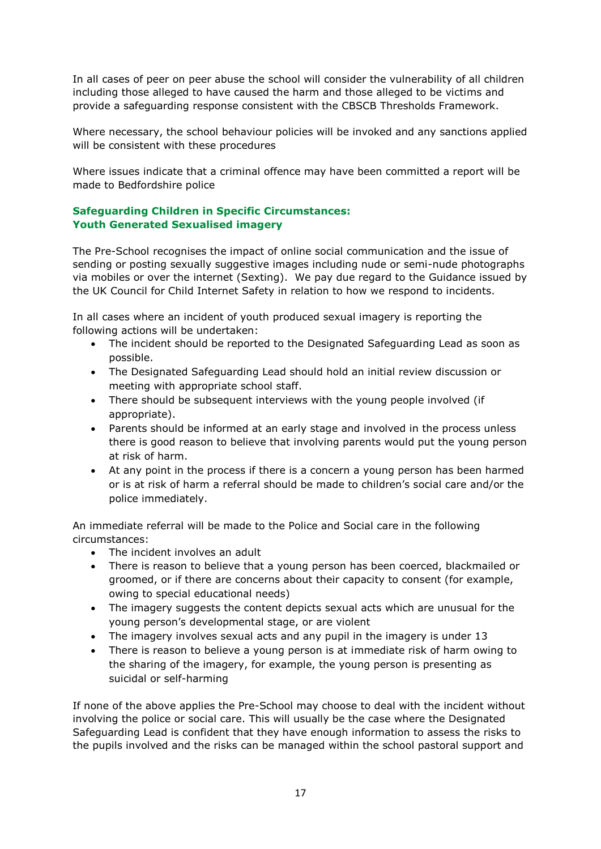In all cases of peer on peer abuse the school will consider the vulnerability of all children including those alleged to have caused the harm and those alleged to be victims and provide a safeguarding response consistent with the CBSCB Thresholds Framework.

Where necessary, the school behaviour policies will be invoked and any sanctions applied will be consistent with these procedures

Where issues indicate that a criminal offence may have been committed a report will be made to Bedfordshire police

# **Safeguarding Children in Specific Circumstances: Youth Generated Sexualised imagery**

The Pre-School recognises the impact of online social communication and the issue of sending or posting sexually suggestive images including nude or semi-nude photographs via mobiles or over the internet (Sexting). We pay due regard to the Guidance issued by the UK Council for Child Internet Safety in relation to how we respond to incidents.

In all cases where an incident of youth produced sexual imagery is reporting the following actions will be undertaken:

- The incident should be reported to the Designated Safeguarding Lead as soon as possible.
- The Designated Safeguarding Lead should hold an initial review discussion or meeting with appropriate school staff.
- There should be subsequent interviews with the young people involved (if appropriate).
- Parents should be informed at an early stage and involved in the process unless there is good reason to believe that involving parents would put the young person at risk of harm.
- At any point in the process if there is a concern a young person has been harmed or is at risk of harm a referral should be made to children's social care and/or the police immediately.

An immediate referral will be made to the Police and Social care in the following circumstances:

- The incident involves an adult
- There is reason to believe that a young person has been coerced, blackmailed or groomed, or if there are concerns about their capacity to consent (for example, owing to special educational needs)
- The imagery suggests the content depicts sexual acts which are unusual for the young person's developmental stage, or are violent
- The imagery involves sexual acts and any pupil in the imagery is under 13
- There is reason to believe a young person is at immediate risk of harm owing to the sharing of the imagery, for example, the young person is presenting as suicidal or self-harming

If none of the above applies the Pre-School may choose to deal with the incident without involving the police or social care. This will usually be the case where the Designated Safeguarding Lead is confident that they have enough information to assess the risks to the pupils involved and the risks can be managed within the school pastoral support and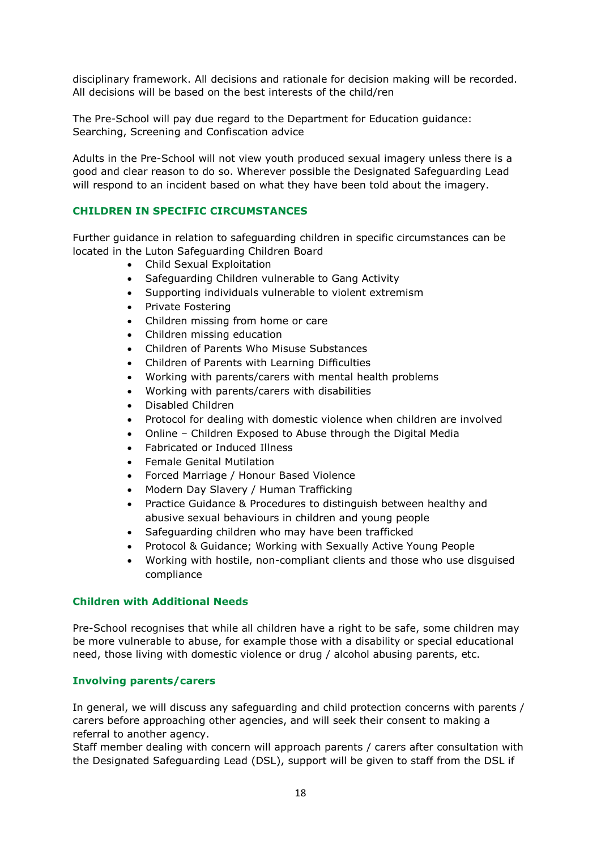disciplinary framework. All decisions and rationale for decision making will be recorded. All decisions will be based on the best interests of the child/ren

The Pre-School will pay due regard to the Department for Education guidance: Searching, Screening and Confiscation advice

Adults in the Pre-School will not view youth produced sexual imagery unless there is a good and clear reason to do so. Wherever possible the Designated Safeguarding Lead will respond to an incident based on what they have been told about the imagery.

## **CHILDREN IN SPECIFIC CIRCUMSTANCES**

Further guidance in relation to safeguarding children in specific circumstances can be located in the Luton Safeguarding Children Board

- Child Sexual Exploitation
- Safeguarding Children vulnerable to Gang Activity
- Supporting individuals vulnerable to violent extremism
- Private Fostering
- Children missing from home or care
- Children missing education
- Children of Parents Who Misuse Substances
- Children of Parents with Learning Difficulties
- Working with parents/carers with mental health problems
- Working with parents/carers with disabilities
- Disabled Children
- Protocol for dealing with domestic violence when children are involved
- Online Children Exposed to Abuse through the Digital Media
- Fabricated or Induced Illness
- Female Genital Mutilation
- Forced Marriage / Honour Based Violence
- Modern Day Slavery / Human Trafficking
- Practice Guidance & Procedures to distinguish between healthy and abusive sexual behaviours in children and young people
- Safeguarding children who may have been trafficked
- Protocol & Guidance; Working with Sexually Active Young People
- Working with hostile, non-compliant clients and those who use disguised compliance

## **Children with Additional Needs**

Pre-School recognises that while all children have a right to be safe, some children may be more vulnerable to abuse, for example those with a disability or special educational need, those living with domestic violence or drug / alcohol abusing parents, etc.

#### **Involving parents/carers**

In general, we will discuss any safeguarding and child protection concerns with parents / carers before approaching other agencies, and will seek their consent to making a referral to another agency.

Staff member dealing with concern will approach parents / carers after consultation with the Designated Safeguarding Lead (DSL), support will be given to staff from the DSL if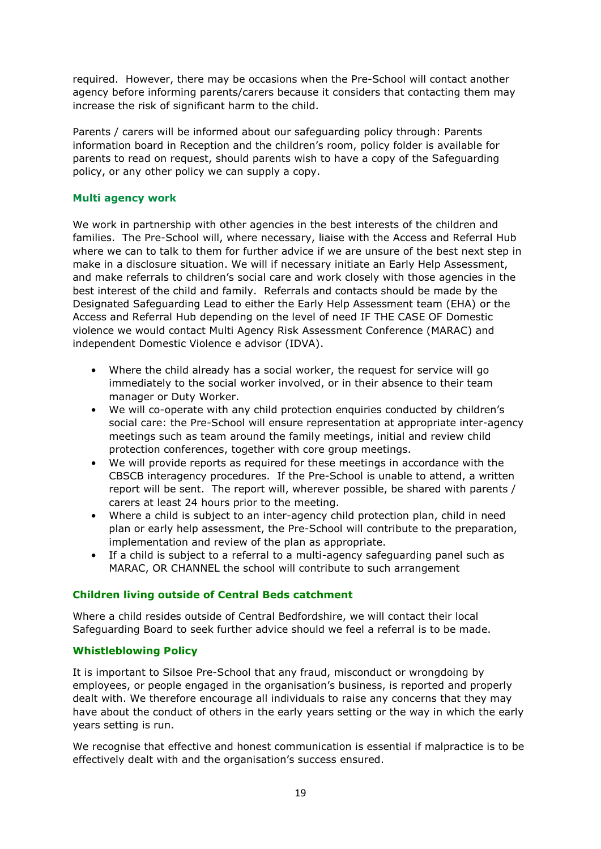required. However, there may be occasions when the Pre-School will contact another agency before informing parents/carers because it considers that contacting them may increase the risk of significant harm to the child.

Parents / carers will be informed about our safeguarding policy through: Parents information board in Reception and the children's room, policy folder is available for parents to read on request, should parents wish to have a copy of the Safeguarding policy, or any other policy we can supply a copy.

# **Multi agency work**

We work in partnership with other agencies in the best interests of the children and families. The Pre-School will, where necessary, liaise with the Access and Referral Hub where we can to talk to them for further advice if we are unsure of the best next step in make in a disclosure situation. We will if necessary initiate an Early Help Assessment, and make referrals to children's social care and work closely with those agencies in the best interest of the child and family. Referrals and contacts should be made by the Designated Safeguarding Lead to either the Early Help Assessment team (EHA) or the Access and Referral Hub depending on the level of need IF THE CASE OF Domestic violence we would contact Multi Agency Risk Assessment Conference (MARAC) and independent Domestic Violence e advisor (IDVA).

- Where the child already has a social worker, the request for service will go immediately to the social worker involved, or in their absence to their team manager or Duty Worker.
- We will co-operate with any child protection enquiries conducted by children's social care: the Pre-School will ensure representation at appropriate inter-agency meetings such as team around the family meetings, initial and review child protection conferences, together with core group meetings.
- We will provide reports as required for these meetings in accordance with the CBSCB interagency procedures. If the Pre-School is unable to attend, a written report will be sent. The report will, wherever possible, be shared with parents / carers at least 24 hours prior to the meeting.
- Where a child is subject to an inter-agency child protection plan, child in need plan or early help assessment, the Pre-School will contribute to the preparation, implementation and review of the plan as appropriate.
- If a child is subject to a referral to a multi-agency safeguarding panel such as MARAC, OR CHANNEL the school will contribute to such arrangement

# **Children living outside of Central Beds catchment**

Where a child resides outside of Central Bedfordshire, we will contact their local Safeguarding Board to seek further advice should we feel a referral is to be made.

# **Whistleblowing Policy**

It is important to Silsoe Pre-School that any fraud, misconduct or wrongdoing by employees, or people engaged in the organisation's business, is reported and properly dealt with. We therefore encourage all individuals to raise any concerns that they may have about the conduct of others in the early years setting or the way in which the early years setting is run.

We recognise that effective and honest communication is essential if malpractice is to be effectively dealt with and the organisation's success ensured.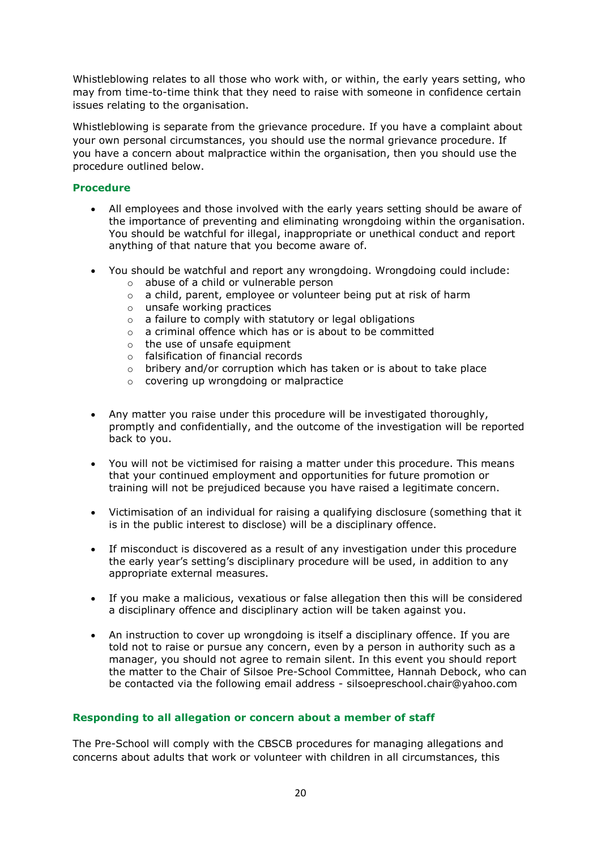Whistleblowing relates to all those who work with, or within, the early years setting, who may from time-to-time think that they need to raise with someone in confidence certain issues relating to the organisation.

Whistleblowing is separate from the grievance procedure. If you have a complaint about your own personal circumstances, you should use the normal grievance procedure. If you have a concern about malpractice within the organisation, then you should use the procedure outlined below.

# **Procedure**

- All employees and those involved with the early years setting should be aware of the importance of preventing and eliminating wrongdoing within the organisation. You should be watchful for illegal, inappropriate or unethical conduct and report anything of that nature that you become aware of.
- You should be watchful and report any wrongdoing. Wrongdoing could include:
	- o abuse of a child or vulnerable person
	- o a child, parent, employee or volunteer being put at risk of harm
	- o unsafe working practices
	- $\circ$  a failure to comply with statutory or legal obligations
	- o a criminal offence which has or is about to be committed
	- $\circ$  the use of unsafe equipment
	- o falsification of financial records
	- o bribery and/or corruption which has taken or is about to take place
	- o covering up wrongdoing or malpractice
- Any matter you raise under this procedure will be investigated thoroughly, promptly and confidentially, and the outcome of the investigation will be reported back to you.
- You will not be victimised for raising a matter under this procedure. This means that your continued employment and opportunities for future promotion or training will not be prejudiced because you have raised a legitimate concern.
- Victimisation of an individual for raising a qualifying disclosure (something that it is in the public interest to disclose) will be a disciplinary offence.
- If misconduct is discovered as a result of any investigation under this procedure the early year's setting's disciplinary procedure will be used, in addition to any appropriate external measures.
- If you make a malicious, vexatious or false allegation then this will be considered a disciplinary offence and disciplinary action will be taken against you.
- An instruction to cover up wrongdoing is itself a disciplinary offence. If you are told not to raise or pursue any concern, even by a person in authority such as a manager, you should not agree to remain silent. In this event you should report the matter to the Chair of Silsoe Pre-School Committee, Hannah Debock, who can be contacted via the following email address - silsoepreschool.chair@yahoo.com

# **Responding to all allegation or concern about a member of staff**

The Pre-School will comply with the CBSCB procedures for managing allegations and concerns about adults that work or volunteer with children in all circumstances, this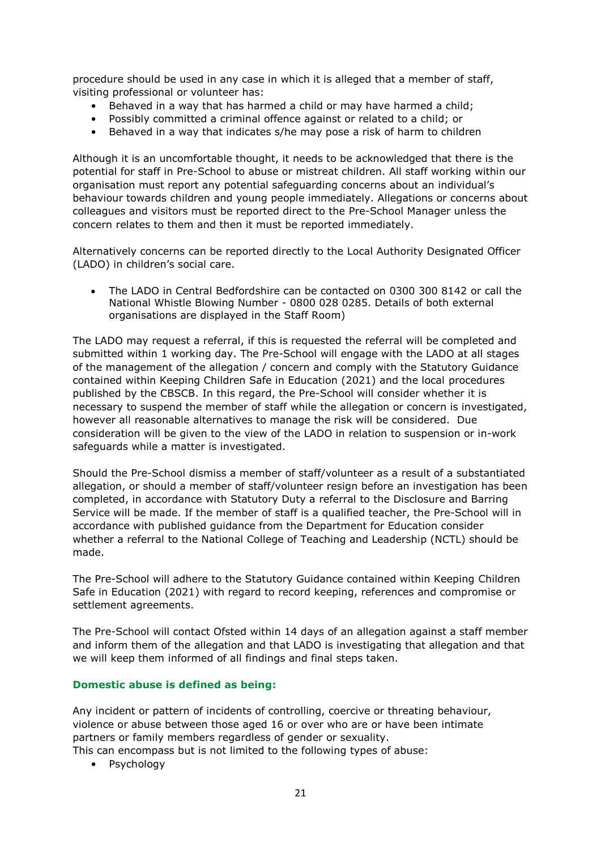procedure should be used in any case in which it is alleged that a member of staff, visiting professional or volunteer has:

- Behaved in a way that has harmed a child or may have harmed a child;
- Possibly committed a criminal offence against or related to a child; or
- Behaved in a way that indicates s/he may pose a risk of harm to children

Although it is an uncomfortable thought, it needs to be acknowledged that there is the potential for staff in Pre-School to abuse or mistreat children. All staff working within our organisation must report any potential safeguarding concerns about an individual's behaviour towards children and young people immediately. Allegations or concerns about colleagues and visitors must be reported direct to the Pre-School Manager unless the concern relates to them and then it must be reported immediately.

Alternatively concerns can be reported directly to the Local Authority Designated Officer (LADO) in children's social care.

 The LADO in Central Bedfordshire can be contacted on 0300 300 8142 or call the National Whistle Blowing Number - 0800 028 0285. Details of both external organisations are displayed in the Staff Room)

The LADO may request a referral, if this is requested the referral will be completed and submitted within 1 working day. The Pre-School will engage with the LADO at all stages of the management of the allegation / concern and comply with the Statutory Guidance contained within Keeping Children Safe in Education (2021) and the local procedures published by the CBSCB. In this regard, the Pre-School will consider whether it is necessary to suspend the member of staff while the allegation or concern is investigated, however all reasonable alternatives to manage the risk will be considered. Due consideration will be given to the view of the LADO in relation to suspension or in-work safeguards while a matter is investigated.

Should the Pre-School dismiss a member of staff/volunteer as a result of a substantiated allegation, or should a member of staff/volunteer resign before an investigation has been completed, in accordance with Statutory Duty a referral to the Disclosure and Barring Service will be made. If the member of staff is a qualified teacher, the Pre-School will in accordance with published guidance from the Department for Education consider whether a referral to the National College of Teaching and Leadership (NCTL) should be made.

The Pre-School will adhere to the Statutory Guidance contained within Keeping Children Safe in Education (2021) with regard to record keeping, references and compromise or settlement agreements.

The Pre-School will contact Ofsted within 14 days of an allegation against a staff member and inform them of the allegation and that LADO is investigating that allegation and that we will keep them informed of all findings and final steps taken.

#### **Domestic abuse is defined as being:**

Any incident or pattern of incidents of controlling, coercive or threating behaviour, violence or abuse between those aged 16 or over who are or have been intimate partners or family members regardless of gender or sexuality. This can encompass but is not limited to the following types of abuse:

• Psychology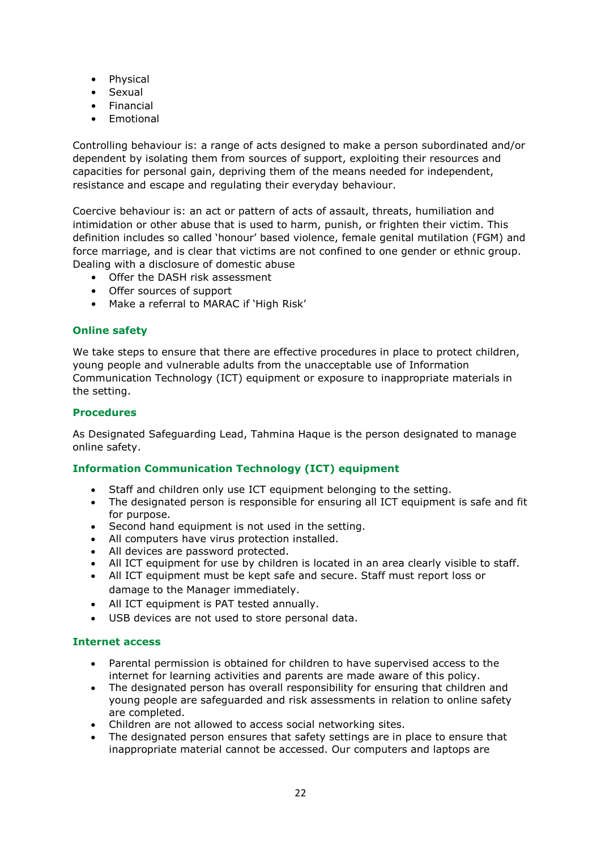- Physical
- Sexual
- Financial
- **Emotional**

Controlling behaviour is: a range of acts designed to make a person subordinated and/or dependent by isolating them from sources of support, exploiting their resources and capacities for personal gain, depriving them of the means needed for independent, resistance and escape and regulating their everyday behaviour.

Coercive behaviour is: an act or pattern of acts of assault, threats, humiliation and intimidation or other abuse that is used to harm, punish, or frighten their victim. This definition includes so called 'honour' based violence, female genital mutilation (FGM) and force marriage, and is clear that victims are not confined to one gender or ethnic group. Dealing with a disclosure of domestic abuse

- Offer the DASH risk assessment
- Offer sources of support
- Make a referral to MARAC if 'High Risk'

# **Online safety**

We take steps to ensure that there are effective procedures in place to protect children, young people and vulnerable adults from the unacceptable use of Information Communication Technology (ICT) equipment or exposure to inappropriate materials in the setting.

# **Procedures**

As Designated Safeguarding Lead, Tahmina Haque is the person designated to manage online safety.

# **Information Communication Technology (ICT) equipment**

- Staff and children only use ICT equipment belonging to the setting.
- The designated person is responsible for ensuring all ICT equipment is safe and fit for purpose.
- Second hand equipment is not used in the setting.
- All computers have virus protection installed.
- All devices are password protected.
- All ICT equipment for use by children is located in an area clearly visible to staff.
- All ICT equipment must be kept safe and secure. Staff must report loss or damage to the Manager immediately.
- All ICT equipment is PAT tested annually.
- USB devices are not used to store personal data.

# **Internet access**

- Parental permission is obtained for children to have supervised access to the internet for learning activities and parents are made aware of this policy.
- The designated person has overall responsibility for ensuring that children and young people are safeguarded and risk assessments in relation to online safety are completed.
- Children are not allowed to access social networking sites.
- The designated person ensures that safety settings are in place to ensure that inappropriate material cannot be accessed. Our computers and laptops are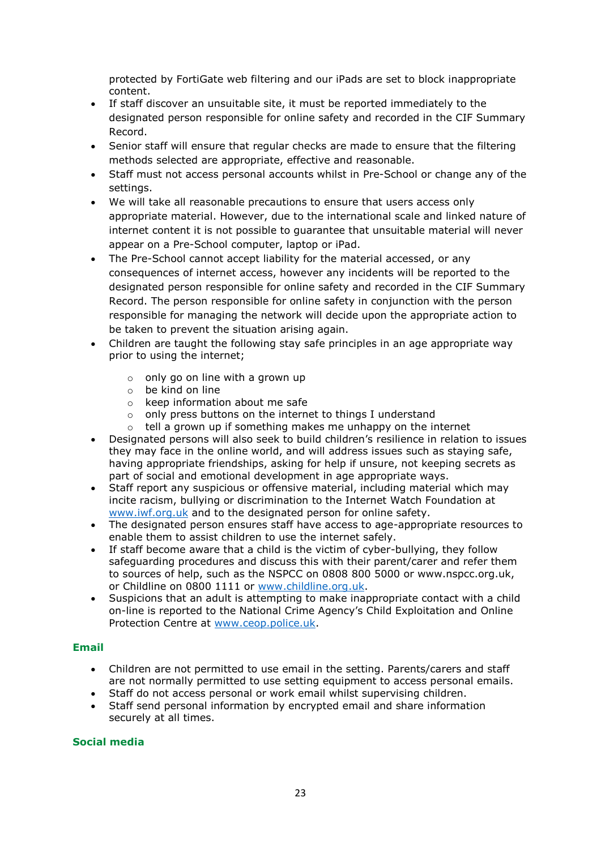protected by FortiGate web filtering and our iPads are set to block inappropriate content.

- If staff discover an unsuitable site, it must be reported immediately to the designated person responsible for online safety and recorded in the CIF Summary Record.
- Senior staff will ensure that regular checks are made to ensure that the filtering methods selected are appropriate, effective and reasonable.
- Staff must not access personal accounts whilst in Pre-School or change any of the settings.
- We will take all reasonable precautions to ensure that users access only appropriate material. However, due to the international scale and linked nature of internet content it is not possible to guarantee that unsuitable material will never appear on a Pre-School computer, laptop or iPad.
- The Pre-School cannot accept liability for the material accessed, or any consequences of internet access, however any incidents will be reported to the designated person responsible for online safety and recorded in the CIF Summary Record. The person responsible for online safety in conjunction with the person responsible for managing the network will decide upon the appropriate action to be taken to prevent the situation arising again.
- Children are taught the following stay safe principles in an age appropriate way prior to using the internet;
	- $\circ$  only go on line with a grown up
	- o be kind on line
	- o keep information about me safe
	- o only press buttons on the internet to things I understand
	- $\circ$  tell a grown up if something makes me unhappy on the internet
- Designated persons will also seek to build children's resilience in relation to issues they may face in the online world, and will address issues such as staying safe, having appropriate friendships, asking for help if unsure, not keeping secrets as part of social and emotional development in age appropriate ways.
- Staff report any suspicious or offensive material, including material which may incite racism, bullying or discrimination to the Internet Watch Foundation at [www.iwf.org.uk](http://www.iwf.org.uk/) and to the designated person for online safety.
- The designated person ensures staff have access to age-appropriate resources to enable them to assist children to use the internet safely.
- If staff become aware that a child is the victim of cyber-bullying, they follow safeguarding procedures and discuss this with their parent/carer and refer them to sources of help, such as the NSPCC on 0808 800 5000 or www.nspcc.org.uk, or Childline on 0800 1111 or [www.childline.org.uk.](http://www.childline.org.uk/)
- Suspicions that an adult is attempting to make inappropriate contact with a child on-line is reported to the National Crime Agency's Child Exploitation and Online Protection Centre at [www.ceop.police.uk.](http://www.ceop.police.uk/)

# **Email**

- Children are not permitted to use email in the setting. Parents/carers and staff are not normally permitted to use setting equipment to access personal emails.
- Staff do not access personal or work email whilst supervising children.
- Staff send personal information by encrypted email and share information securely at all times.

#### **Social media**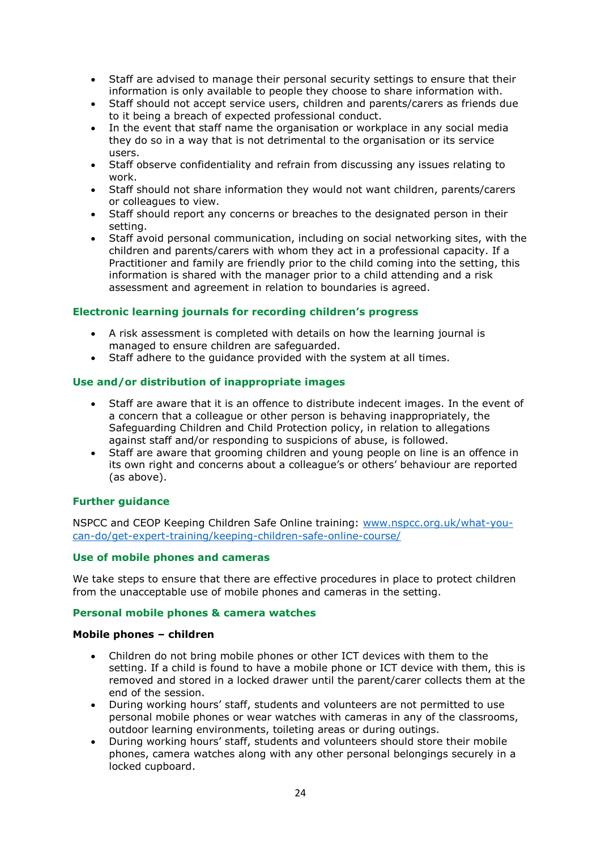- Staff are advised to manage their personal security settings to ensure that their information is only available to people they choose to share information with.
- Staff should not accept service users, children and parents/carers as friends due to it being a breach of expected professional conduct.
- In the event that staff name the organisation or workplace in any social media they do so in a way that is not detrimental to the organisation or its service users.
- Staff observe confidentiality and refrain from discussing any issues relating to work.
- Staff should not share information they would not want children, parents/carers or colleagues to view.
- Staff should report any concerns or breaches to the designated person in their setting.
- Staff avoid personal communication, including on social networking sites, with the children and parents/carers with whom they act in a professional capacity. If a Practitioner and family are friendly prior to the child coming into the setting, this information is shared with the manager prior to a child attending and a risk assessment and agreement in relation to boundaries is agreed.

# **Electronic learning journals for recording children's progress**

- A risk assessment is completed with details on how the learning journal is managed to ensure children are safeguarded.
- Staff adhere to the guidance provided with the system at all times.

## **Use and/or distribution of inappropriate images**

- Staff are aware that it is an offence to distribute indecent images. In the event of a concern that a colleague or other person is behaving inappropriately, the Safeguarding Children and Child Protection policy, in relation to allegations against staff and/or responding to suspicions of abuse, is followed.
- Staff are aware that grooming children and young people on line is an offence in its own right and concerns about a colleague's or others' behaviour are reported (as above).

#### **Further guidance**

NSPCC and CEOP Keeping Children Safe Online training: [www.nspcc.org.uk/what-you](http://www.nspcc.org.uk/what-you-can-do/get-expert-training/keeping-children-safe-online-course/)[can-do/get-expert-training/keeping-children-safe-online-course/](http://www.nspcc.org.uk/what-you-can-do/get-expert-training/keeping-children-safe-online-course/)

#### **Use of mobile phones and cameras**

We take steps to ensure that there are effective procedures in place to protect children from the unacceptable use of mobile phones and cameras in the setting.

#### **Personal mobile phones & camera watches**

#### **Mobile phones – children**

- Children do not bring mobile phones or other ICT devices with them to the setting. If a child is found to have a mobile phone or ICT device with them, this is removed and stored in a locked drawer until the parent/carer collects them at the end of the session.
- During working hours' staff, students and volunteers are not permitted to use personal mobile phones or wear watches with cameras in any of the classrooms, outdoor learning environments, toileting areas or during outings.
- During working hours' staff, students and volunteers should store their mobile phones, camera watches along with any other personal belongings securely in a locked cupboard.